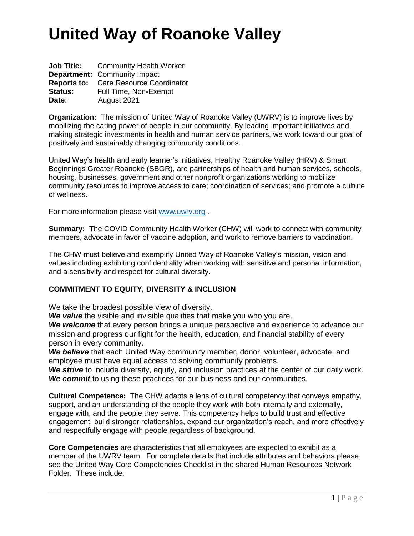|                | <b>Job Title:</b> Community Health Worker    |
|----------------|----------------------------------------------|
|                | <b>Department: Community Impact</b>          |
|                | <b>Reports to:</b> Care Resource Coordinator |
| <b>Status:</b> | Full Time, Non-Exempt                        |
| Date:          | August 2021                                  |

**Organization:** The mission of United Way of Roanoke Valley (UWRV) is to improve lives by mobilizing the caring power of people in our community. By leading important initiatives and making strategic investments in health and human service partners, we work toward our goal of positively and sustainably changing community conditions.

United Way's health and early learner's initiatives, Healthy Roanoke Valley (HRV) & Smart Beginnings Greater Roanoke (SBGR), are partnerships of health and human services, schools, housing, businesses, government and other nonprofit organizations working to mobilize community resources to improve access to care; coordination of services; and promote a culture of wellness.

For more information please visit [www.uwrv.org](http://www.uwrv.org/) .

**Summary:** The COVID Community Health Worker (CHW) will work to connect with community members, advocate in favor of vaccine adoption, and work to remove barriers to vaccination.

The CHW must believe and exemplify United Way of Roanoke Valley's mission, vision and values including exhibiting confidentiality when working with sensitive and personal information, and a sensitivity and respect for cultural diversity.

### **COMMITMENT TO EQUITY, DIVERSITY & INCLUSION**

We take the broadest possible view of diversity.

*We value* the visible and invisible qualities that make you who you are.

We welcome that every person brings a unique perspective and experience to advance our mission and progress our fight for the health, education, and financial stability of every person in every community.

*We believe* that each United Way community member, donor, volunteer, advocate, and employee must have equal access to solving community problems.

*We strive* to include diversity, equity, and inclusion practices at the center of our daily work. *We commit* to using these practices for our business and our communities.

**Cultural Competence:** The CHW adapts a lens of cultural competency that conveys empathy, support, and an understanding of the people they work with both internally and externally, engage with, and the people they serve. This competency helps to build trust and effective engagement, build stronger relationships, expand our organization's reach, and more effectively and respectfully engage with people regardless of background.

**Core Competencies** are characteristics that all employees are expected to exhibit as a member of the UWRV team. For complete details that include attributes and behaviors please see the United Way Core Competencies Checklist in the shared Human Resources Network Folder. These include: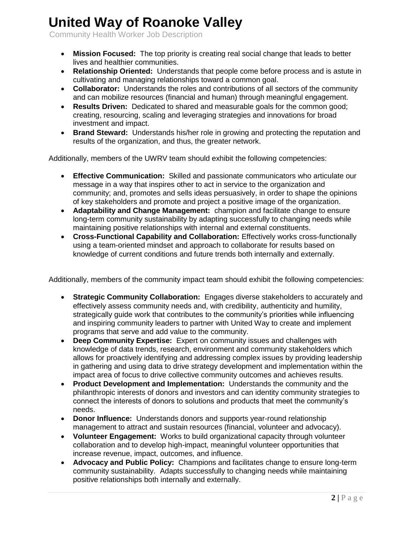Community Health Worker Job Description

- **Mission Focused:** The top priority is creating real social change that leads to better lives and healthier communities.
- **Relationship Oriented:** Understands that people come before process and is astute in cultivating and managing relationships toward a common goal.
- **Collaborator:** Understands the roles and contributions of all sectors of the community and can mobilize resources (financial and human) through meaningful engagement.
- **Results Driven:** Dedicated to shared and measurable goals for the common good; creating, resourcing, scaling and leveraging strategies and innovations for broad investment and impact.
- **Brand Steward:** Understands his/her role in growing and protecting the reputation and results of the organization, and thus, the greater network.

Additionally, members of the UWRV team should exhibit the following competencies:

- **Effective Communication:** Skilled and passionate communicators who articulate our message in a way that inspires other to act in service to the organization and community; and, promotes and sells ideas persuasively, in order to shape the opinions of key stakeholders and promote and project a positive image of the organization.
- **Adaptability and Change Management:** champion and facilitate change to ensure long-term community sustainability by adapting successfully to changing needs while maintaining positive relationships with internal and external constituents.
- **Cross-Functional Capability and Collaboration:** Effectively works cross-functionally using a team-oriented mindset and approach to collaborate for results based on knowledge of current conditions and future trends both internally and externally.

Additionally, members of the community impact team should exhibit the following competencies:

- **Strategic Community Collaboration:** Engages diverse stakeholders to accurately and effectively assess community needs and, with credibility, authenticity and humility, strategically guide work that contributes to the community's priorities while influencing and inspiring community leaders to partner with United Way to create and implement programs that serve and add value to the community.
- **Deep Community Expertise:** Expert on community issues and challenges with knowledge of data trends, research, environment and community stakeholders which allows for proactively identifying and addressing complex issues by providing leadership in gathering and using data to drive strategy development and implementation within the impact area of focus to drive collective community outcomes and achieves results.
- **Product Development and Implementation:** Understands the community and the philanthropic interests of donors and investors and can identity community strategies to connect the interests of donors to solutions and products that meet the community's needs.
- **Donor Influence:** Understands donors and supports year-round relationship management to attract and sustain resources (financial, volunteer and advocacy).
- **Volunteer Engagement:** Works to build organizational capacity through volunteer collaboration and to develop high-impact, meaningful volunteer opportunities that increase revenue, impact, outcomes, and influence.
- **Advocacy and Public Policy:** Champions and facilitates change to ensure long-term community sustainability. Adapts successfully to changing needs while maintaining positive relationships both internally and externally.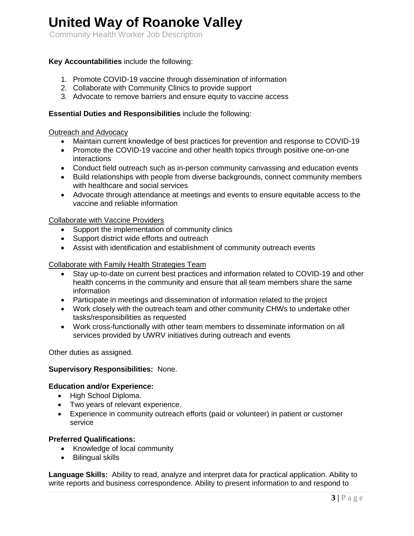Community Health Worker Job Description

### **Key Accountabilities** include the following:

- 1. Promote COVID-19 vaccine through dissemination of information
- 2. Collaborate with Community Clinics to provide support
- 3. Advocate to remove barriers and ensure equity to vaccine access

#### **Essential Duties and Responsibilities** include the following:

#### Outreach and Advocacy

- Maintain current knowledge of best practices for prevention and response to COVID-19
- Promote the COVID-19 vaccine and other health topics through positive one-on-one interactions
- Conduct field outreach such as in-person community canvassing and education events
- Build relationships with people from diverse backgrounds, connect community members with healthcare and social services
- Advocate through attendance at meetings and events to ensure equitable access to the vaccine and reliable information

#### Collaborate with Vaccine Providers

- Support the implementation of community clinics
- Support district wide efforts and outreach
- Assist with identification and establishment of community outreach events

#### Collaborate with Family Health Strategies Team

- Stay up-to-date on current best practices and information related to COVID-19 and other health concerns in the community and ensure that all team members share the same information
- Participate in meetings and dissemination of information related to the project
- Work closely with the outreach team and other community CHWs to undertake other tasks/responsibilities as requested
- Work cross-functionally with other team members to disseminate information on all services provided by UWRV initiatives during outreach and events

Other duties as assigned.

#### **Supervisory Responsibilities:** None.

#### **Education and/or Experience:**

- High School Diploma.
- Two years of relevant experience.
- Experience in community outreach efforts (paid or volunteer) in patient or customer service

### **Preferred Qualifications:**

- Knowledge of local community
- Bilingual skills

**Language Skills:** Ability to read, analyze and interpret data for practical application. Ability to write reports and business correspondence. Ability to present information to and respond to